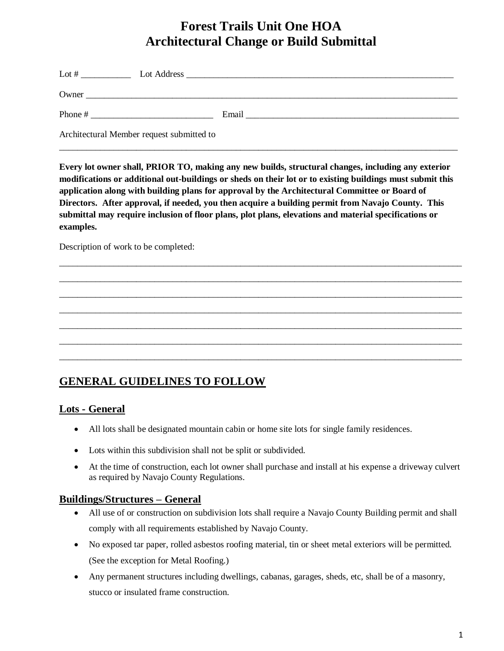# **Forest Trails Unit One HOA Architectural Change or Build Submittal**

| Lot $#$                                   |       |
|-------------------------------------------|-------|
| Owner                                     |       |
| Phone #                                   | Email |
| Architectural Member request submitted to |       |

\_\_\_\_\_\_\_\_\_\_\_\_\_\_\_\_\_\_\_\_\_\_\_\_\_\_\_\_\_\_\_\_\_\_\_\_\_\_\_\_\_\_\_\_\_\_\_\_\_\_\_\_\_\_\_\_\_\_\_\_\_\_\_\_\_\_\_\_\_\_\_\_\_\_\_\_\_\_\_\_\_\_\_\_\_\_\_\_

**Every lot owner shall, PRIOR TO, making any new builds, structural changes, including any exterior modifications or additional out-buildings or sheds on their lot or to existing buildings must submit this application along with building plans for approval by the Architectural Committee or Board of Directors. After approval, if needed, you then acquire a building permit from Navajo County. This submittal may require inclusion of floor plans, plot plans, elevations and material specifications or examples.**

\_\_\_\_\_\_\_\_\_\_\_\_\_\_\_\_\_\_\_\_\_\_\_\_\_\_\_\_\_\_\_\_\_\_\_\_\_\_\_\_\_\_\_\_\_\_\_\_\_\_\_\_\_\_\_\_\_\_\_\_\_\_\_\_\_\_\_\_\_\_\_\_\_\_\_\_\_\_\_\_\_\_\_\_\_\_\_\_\_ \_\_\_\_\_\_\_\_\_\_\_\_\_\_\_\_\_\_\_\_\_\_\_\_\_\_\_\_\_\_\_\_\_\_\_\_\_\_\_\_\_\_\_\_\_\_\_\_\_\_\_\_\_\_\_\_\_\_\_\_\_\_\_\_\_\_\_\_\_\_\_\_\_\_\_\_\_\_\_\_\_\_\_\_\_\_\_\_\_ \_\_\_\_\_\_\_\_\_\_\_\_\_\_\_\_\_\_\_\_\_\_\_\_\_\_\_\_\_\_\_\_\_\_\_\_\_\_\_\_\_\_\_\_\_\_\_\_\_\_\_\_\_\_\_\_\_\_\_\_\_\_\_\_\_\_\_\_\_\_\_\_\_\_\_\_\_\_\_\_\_\_\_\_\_\_\_\_\_ \_\_\_\_\_\_\_\_\_\_\_\_\_\_\_\_\_\_\_\_\_\_\_\_\_\_\_\_\_\_\_\_\_\_\_\_\_\_\_\_\_\_\_\_\_\_\_\_\_\_\_\_\_\_\_\_\_\_\_\_\_\_\_\_\_\_\_\_\_\_\_\_\_\_\_\_\_\_\_\_\_\_\_\_\_\_\_\_\_ \_\_\_\_\_\_\_\_\_\_\_\_\_\_\_\_\_\_\_\_\_\_\_\_\_\_\_\_\_\_\_\_\_\_\_\_\_\_\_\_\_\_\_\_\_\_\_\_\_\_\_\_\_\_\_\_\_\_\_\_\_\_\_\_\_\_\_\_\_\_\_\_\_\_\_\_\_\_\_\_\_\_\_\_\_\_\_\_\_ \_\_\_\_\_\_\_\_\_\_\_\_\_\_\_\_\_\_\_\_\_\_\_\_\_\_\_\_\_\_\_\_\_\_\_\_\_\_\_\_\_\_\_\_\_\_\_\_\_\_\_\_\_\_\_\_\_\_\_\_\_\_\_\_\_\_\_\_\_\_\_\_\_\_\_\_\_\_\_\_\_\_\_\_\_\_\_\_\_ \_\_\_\_\_\_\_\_\_\_\_\_\_\_\_\_\_\_\_\_\_\_\_\_\_\_\_\_\_\_\_\_\_\_\_\_\_\_\_\_\_\_\_\_\_\_\_\_\_\_\_\_\_\_\_\_\_\_\_\_\_\_\_\_\_\_\_\_\_\_\_\_\_\_\_\_\_\_\_\_\_\_\_\_\_\_\_\_\_

Description of work to be completed:

## **GENERAL GUIDELINES TO FOLLOW**

#### **Lots - General**

- All lots shall be designated mountain cabin or home site lots for single family residences.
- Lots within this subdivision shall not be split or subdivided.
- At the time of construction, each lot owner shall purchase and install at his expense a driveway culvert as required by Navajo County Regulations.

#### **Buildings/Structures – General**

- All use of or construction on subdivision lots shall require a Navajo County Building permit and shall comply with all requirements established by Navajo County.
- No exposed tar paper, rolled asbestos roofing material, tin or sheet metal exteriors will be permitted. (See the exception for Metal Roofing.)
- Any permanent structures including dwellings, cabanas, garages, sheds, etc, shall be of a masonry, stucco or insulated frame construction.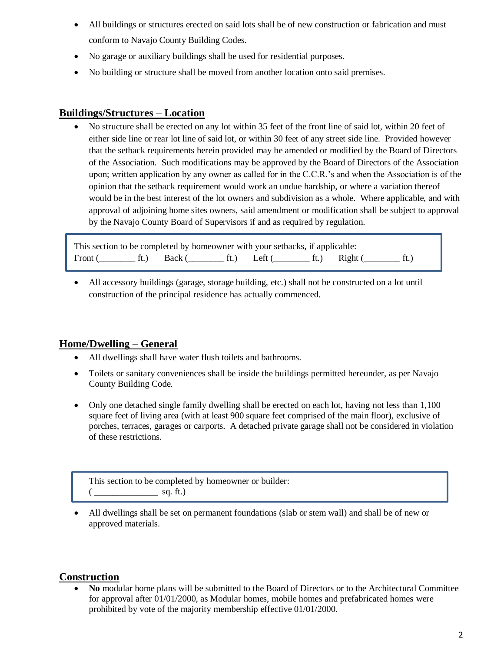- All buildings or structures erected on said lots shall be of new construction or fabrication and must conform to Navajo County Building Codes.
- No garage or auxiliary buildings shall be used for residential purposes.
- No building or structure shall be moved from another location onto said premises.

#### **Buildings/Structures – Location**

 No structure shall be erected on any lot within 35 feet of the front line of said lot, within 20 feet of either side line or rear lot line of said lot, or within 30 feet of any street side line. Provided however that the setback requirements herein provided may be amended or modified by the Board of Directors of the Association. Such modifications may be approved by the Board of Directors of the Association upon; written application by any owner as called for in the C.C.R.'s and when the Association is of the opinion that the setback requirement would work an undue hardship, or where a variation thereof would be in the best interest of the lot owners and subdivision as a whole. Where applicable, and with approval of adjoining home sites owners, said amendment or modification shall be subject to approval by the Navajo County Board of Supervisors if and as required by regulation.

| This section to be completed by homeowner with your setbacks, if applicable: |  |  |                                                    |  |
|------------------------------------------------------------------------------|--|--|----------------------------------------------------|--|
|                                                                              |  |  | Front (ft.) Back (ft.) Left (ft.) Right (ft.) ft.) |  |

 All accessory buildings (garage, storage building, etc.) shall not be constructed on a lot until construction of the principal residence has actually commenced.

#### **Home/Dwelling – General**

- All dwellings shall have water flush toilets and bathrooms.
- Toilets or sanitary conveniences shall be inside the buildings permitted hereunder, as per Navajo County Building Code.
- Only one detached single family dwelling shall be erected on each lot, having not less than 1,100 square feet of living area (with at least 900 square feet comprised of the main floor), exclusive of porches, terraces, garages or carports. A detached private garage shall not be considered in violation of these restrictions.

This section to be completed by homeowner or builder: ( \_\_\_\_\_\_\_\_\_\_\_\_\_\_ sq. ft.)

 All dwellings shall be set on permanent foundations (slab or stem wall) and shall be of new or approved materials.

#### **Construction**

 **No** modular home plans will be submitted to the Board of Directors or to the Architectural Committee for approval after 01/01/2000, as Modular homes, mobile homes and prefabricated homes were prohibited by vote of the majority membership effective 01/01/2000.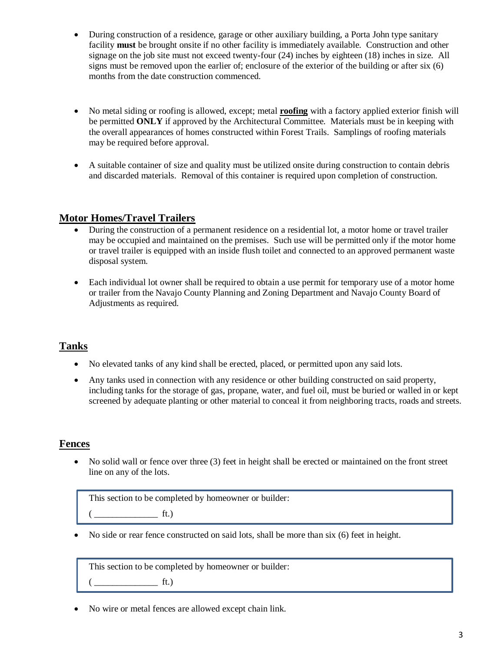- During construction of a residence, garage or other auxiliary building, a Porta John type sanitary facility **must** be brought onsite if no other facility is immediately available. Construction and other signage on the job site must not exceed twenty-four (24) inches by eighteen (18) inches in size. All signs must be removed upon the earlier of; enclosure of the exterior of the building or after six (6) months from the date construction commenced.
- No metal siding or roofing is allowed, except; metal **roofing** with a factory applied exterior finish will be permitted **ONLY** if approved by the Architectural Committee. Materials must be in keeping with the overall appearances of homes constructed within Forest Trails. Samplings of roofing materials may be required before approval.
- A suitable container of size and quality must be utilized onsite during construction to contain debris and discarded materials. Removal of this container is required upon completion of construction.

#### **Motor Homes/Travel Trailers**

- During the construction of a permanent residence on a residential lot, a motor home or travel trailer may be occupied and maintained on the premises. Such use will be permitted only if the motor home or travel trailer is equipped with an inside flush toilet and connected to an approved permanent waste disposal system.
- Each individual lot owner shall be required to obtain a use permit for temporary use of a motor home or trailer from the Navajo County Planning and Zoning Department and Navajo County Board of Adjustments as required.

## **Tanks**

- No elevated tanks of any kind shall be erected, placed, or permitted upon any said lots.
- Any tanks used in connection with any residence or other building constructed on said property, including tanks for the storage of gas, propane, water, and fuel oil, must be buried or walled in or kept screened by adequate planting or other material to conceal it from neighboring tracts, roads and streets.

## **Fences**

• No solid wall or fence over three (3) feet in height shall be erected or maintained on the front street line on any of the lots.

This section to be completed by homeowner or builder:

 $ft.)$ 

No side or rear fence constructed on said lots, shall be more than six (6) feet in height.

This section to be completed by homeowner or builder:

 $ft.)$ 

No wire or metal fences are allowed except chain link.